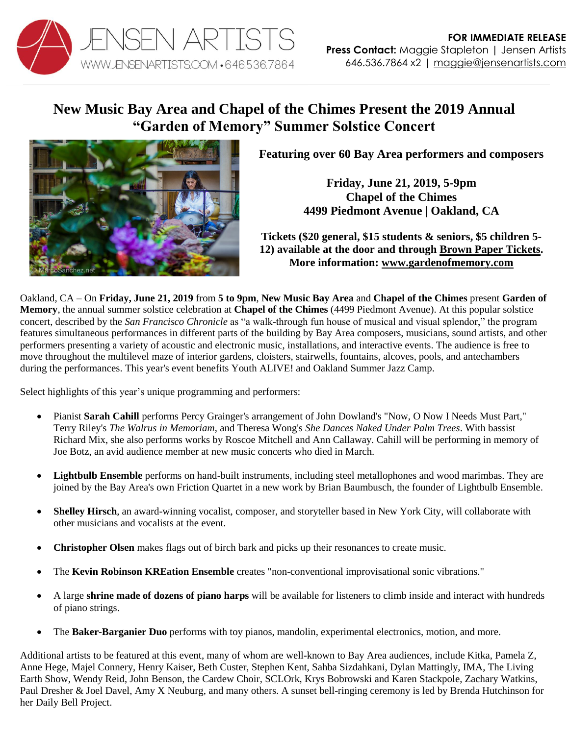

## **New Music Bay Area and Chapel of the Chimes Present the 2019 Annual "Garden of Memory" Summer Solstice Concert**



**Featuring over 60 Bay Area performers and composers**

**Friday, June 21, 2019, 5-9pm Chapel of the Chimes 4499 Piedmont Avenue | Oakland, CA**

**Tickets (\$20 general, \$15 students & seniors, \$5 children 5- 12) available at the door and through [Brown Paper Tickets.](https://www.brownpapertickets.com/event/4244487) More information: [www.gardenofmemory.com](http://www.gardenofmemory.com/)**

Oakland, CA – On **Friday, June 21, 2019** from **5 to 9pm**, **New Music Bay Area** and **Chapel of the Chimes** present **Garden of Memory**, the annual summer solstice celebration at **Chapel of the Chimes** (4499 Piedmont Avenue). At this popular solstice concert, described by the *San Francisco Chronicle* as "a walk-through fun house of musical and visual splendor," the program features simultaneous performances in different parts of the building by Bay Area composers, musicians, sound artists, and other performers presenting a variety of acoustic and electronic music, installations, and interactive events. The audience is free to move throughout the multilevel maze of interior gardens, cloisters, stairwells, fountains, alcoves, pools, and antechambers during the performances. This year's event benefits Youth ALIVE! and Oakland Summer Jazz Camp.

Select highlights of this year's unique programming and performers:

- Pianist **Sarah Cahill** performs Percy Grainger's arrangement of John Dowland's "Now, O Now I Needs Must Part," Terry Riley's *The Walrus in Memoriam*, and Theresa Wong's *She Dances Naked Under Palm Trees*. With bassist Richard Mix, she also performs works by Roscoe Mitchell and Ann Callaway. Cahill will be performing in memory of Joe Botz, an avid audience member at new music concerts who died in March.
- **Lightbulb Ensemble** performs on hand-built instruments, including steel metallophones and wood marimbas. They are joined by the Bay Area's own Friction Quartet in a new work by Brian Baumbusch, the founder of Lightbulb Ensemble.
- **Shelley Hirsch**, an award-winning vocalist, composer, and storyteller based in New York City, will collaborate with other musicians and vocalists at the event.
- **Christopher Olsen** makes flags out of birch bark and picks up their resonances to create music.
- The **Kevin Robinson KREation Ensemble** creates "non-conventional improvisational sonic vibrations."
- A large **shrine made of dozens of piano harps** will be available for listeners to climb inside and interact with hundreds of piano strings.
- The **Baker-Barganier Duo** performs with toy pianos, mandolin, experimental electronics, motion, and more.

Additional artists to be featured at this event, many of whom are well-known to Bay Area audiences, include Kitka, Pamela Z, Anne Hege, Majel Connery, Henry Kaiser, Beth Custer, Stephen Kent, Sahba Sizdahkani, Dylan Mattingly, IMA, The Living Earth Show, Wendy Reid, John Benson, the Cardew Choir, SCLOrk, Krys Bobrowski and Karen Stackpole, Zachary Watkins, Paul Dresher & Joel Davel, Amy X Neuburg, and many others. A sunset bell-ringing ceremony is led by Brenda Hutchinson for her Daily Bell Project.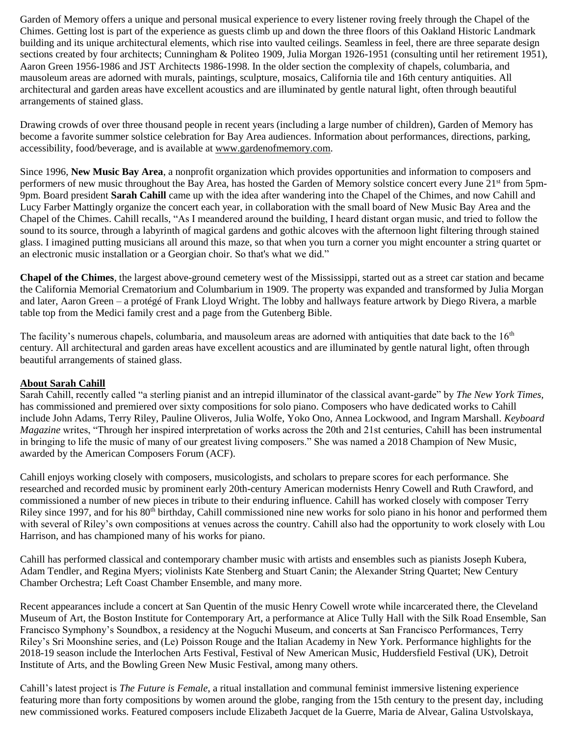Garden of Memory offers a unique and personal musical experience to every listener roving freely through the Chapel of the Chimes. Getting lost is part of the experience as guests climb up and down the three floors of this Oakland Historic Landmark building and its unique architectural elements, which rise into vaulted ceilings. Seamless in feel, there are three separate design sections created by four architects; Cunningham & Politeo 1909, Julia Morgan 1926-1951 (consulting until her retirement 1951), Aaron Green 1956-1986 and JST Architects 1986-1998. In the older section the complexity of chapels, columbaria, and mausoleum areas are adorned with murals, paintings, sculpture, mosaics, California tile and 16th century antiquities. All architectural and garden areas have excellent acoustics and are illuminated by gentle natural light, often through beautiful arrangements of stained glass.

Drawing crowds of over three thousand people in recent years (including a large number of children), Garden of Memory has become a favorite summer solstice celebration for Bay Area audiences. Information about performances, directions, parking, accessibility, food/beverage, and is available a[t www.gardenofmemory.com.](http://www.gardenofmemory.com/)

Since 1996, **New Music Bay Area**, a nonprofit organization which provides opportunities and information to composers and performers of new music throughout the Bay Area, has hosted the Garden of Memory solstice concert every June 21st from 5pm-9pm. Board president **Sarah Cahill** came up with the idea after wandering into the Chapel of the Chimes, and now Cahill and Lucy Farber Mattingly organize the concert each year, in collaboration with the small board of New Music Bay Area and the Chapel of the Chimes. Cahill recalls, "As I meandered around the building, I heard distant organ music, and tried to follow the sound to its source, through a labyrinth of magical gardens and gothic alcoves with the afternoon light filtering through stained glass. I imagined putting musicians all around this maze, so that when you turn a corner you might encounter a string quartet or an electronic music installation or a Georgian choir. So that's what we did."

**Chapel of the Chimes**, the largest above-ground cemetery west of the Mississippi, started out as a street car station and became the California Memorial Crematorium and Columbarium in 1909. The property was expanded and transformed by Julia Morgan and later, Aaron Green – a protégé of Frank Lloyd Wright. The lobby and hallways feature artwork by Diego Rivera, a marble table top from the Medici family crest and a page from the Gutenberg Bible.

The facility's numerous chapels, columbaria, and mausoleum areas are adorned with antiquities that date back to the 16<sup>th</sup> century. All architectural and garden areas have excellent acoustics and are illuminated by gentle natural light, often through beautiful arrangements of stained glass.

## **About Sarah Cahill**

Sarah Cahill, recently called "a sterling pianist and an intrepid illuminator of the classical avant-garde" by *The New York Times,*  has commissioned and premiered over sixty compositions for solo piano. Composers who have dedicated works to Cahill include John Adams, Terry Riley, Pauline Oliveros, Julia Wolfe, Yoko Ono, Annea Lockwood, and Ingram Marshall. *Keyboard Magazine* writes, "Through her inspired interpretation of works across the 20th and 21st centuries, Cahill has been instrumental in bringing to life the music of many of our greatest living composers." She was named a 2018 Champion of New Music, awarded by the American Composers Forum (ACF).

Cahill enjoys working closely with composers, musicologists, and scholars to prepare scores for each performance. She researched and recorded music by prominent early 20th-century American modernists Henry Cowell and Ruth Crawford, and commissioned a number of new pieces in tribute to their enduring influence. Cahill has worked closely with composer Terry Riley since 1997, and for his  $80<sup>th</sup>$  birthday, Cahill commissioned nine new works for solo piano in his honor and performed them with several of Riley's own compositions at venues across the country. Cahill also had the opportunity to work closely with Lou Harrison, and has championed many of his works for piano.

Cahill has performed classical and contemporary chamber music with artists and ensembles such as pianists Joseph Kubera, Adam Tendler, and Regina Myers; violinists Kate Stenberg and Stuart Canin; the Alexander String Quartet; New Century Chamber Orchestra; Left Coast Chamber Ensemble, and many more.

Recent appearances include a concert at San Quentin of the music Henry Cowell wrote while incarcerated there, the Cleveland Museum of Art, the Boston Institute for Contemporary Art, a performance at Alice Tully Hall with the Silk Road Ensemble, San Francisco Symphony's Soundbox, a residency at the Noguchi Museum, and concerts at San Francisco Performances, Terry Riley's Sri Moonshine series, and (Le) Poisson Rouge and the Italian Academy in New York. Performance highlights for the 2018-19 season include the Interlochen Arts Festival, Festival of New American Music, Huddersfield Festival (UK), Detroit Institute of Arts, and the Bowling Green New Music Festival, among many others.

Cahill's latest project is *The Future is Female*, a ritual installation and communal feminist immersive listening experience featuring more than forty compositions by women around the globe, ranging from the 15th century to the present day, including new commissioned works. Featured composers include Elizabeth Jacquet de la Guerre, Maria de Alvear, Galina Ustvolskaya,